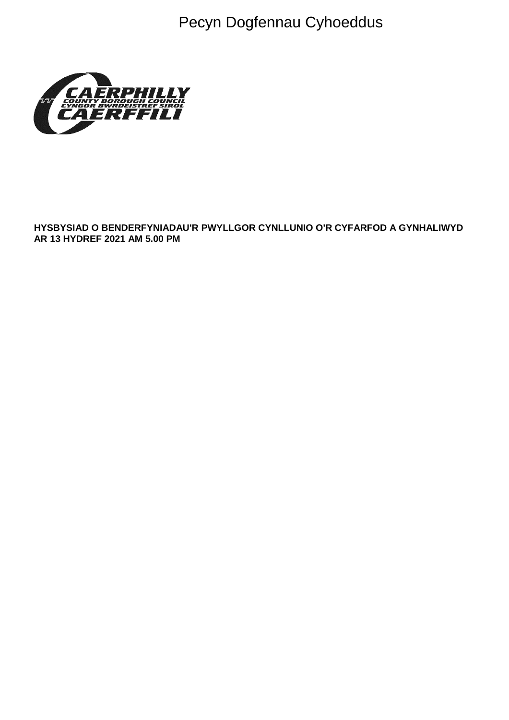Pecyn Dogfennau Cyhoeddus



**HYSBYSIAD O BENDERFYNIADAU'R PWYLLGOR CYNLLUNIO O'R CYFARFOD A GYNHALIWYD AR 13 HYDREF 2021 AM 5.00 PM**